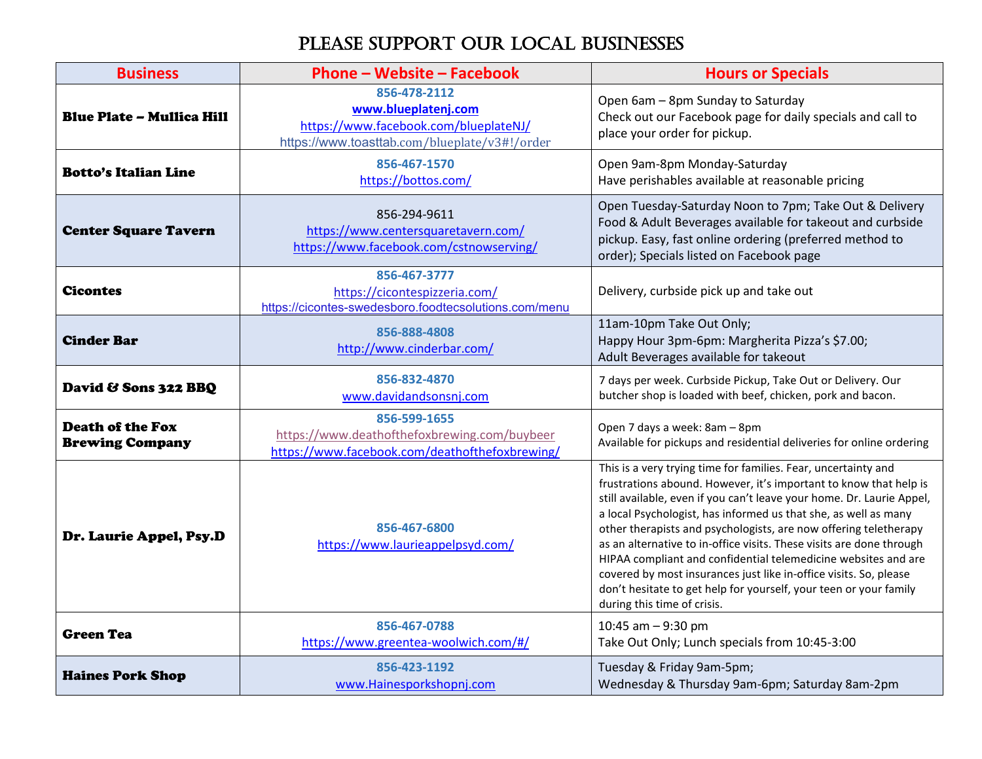## PLEASE SUPPORT OUR LOCAL BUSINESSES

| <b>Business</b>                                   | <b>Phone - Website - Facebook</b>                                                                                             | <b>Hours or Specials</b>                                                                                                                                                                                                                                                                                                                                                                                                                                                                                                                                                                                                                                               |
|---------------------------------------------------|-------------------------------------------------------------------------------------------------------------------------------|------------------------------------------------------------------------------------------------------------------------------------------------------------------------------------------------------------------------------------------------------------------------------------------------------------------------------------------------------------------------------------------------------------------------------------------------------------------------------------------------------------------------------------------------------------------------------------------------------------------------------------------------------------------------|
| <b>Blue Plate - Mullica Hill</b>                  | 856-478-2112<br>www.blueplatenj.com<br>https://www.facebook.com/blueplateNJ/<br>https://www.toasttab.com/blueplate/v3#!/order | Open 6am - 8pm Sunday to Saturday<br>Check out our Facebook page for daily specials and call to<br>place your order for pickup.                                                                                                                                                                                                                                                                                                                                                                                                                                                                                                                                        |
| <b>Botto's Italian Line</b>                       | 856-467-1570<br>https://bottos.com/                                                                                           | Open 9am-8pm Monday-Saturday<br>Have perishables available at reasonable pricing                                                                                                                                                                                                                                                                                                                                                                                                                                                                                                                                                                                       |
| <b>Center Square Tavern</b>                       | 856-294-9611<br>https://www.centersquaretavern.com/<br>https://www.facebook.com/cstnowserving/                                | Open Tuesday-Saturday Noon to 7pm; Take Out & Delivery<br>Food & Adult Beverages available for takeout and curbside<br>pickup. Easy, fast online ordering (preferred method to<br>order); Specials listed on Facebook page                                                                                                                                                                                                                                                                                                                                                                                                                                             |
| <b>Cicontes</b>                                   | 856-467-3777<br>https://cicontespizzeria.com/<br>https://cicontes-swedesboro.foodtecsolutions.com/menu                        | Delivery, curbside pick up and take out                                                                                                                                                                                                                                                                                                                                                                                                                                                                                                                                                                                                                                |
| <b>Cinder Bar</b>                                 | 856-888-4808<br>http://www.cinderbar.com/                                                                                     | 11am-10pm Take Out Only;<br>Happy Hour 3pm-6pm: Margherita Pizza's \$7.00;<br>Adult Beverages available for takeout                                                                                                                                                                                                                                                                                                                                                                                                                                                                                                                                                    |
| David & Sons 322 BBQ                              | 856-832-4870<br>www.davidandsonsnj.com                                                                                        | 7 days per week. Curbside Pickup, Take Out or Delivery. Our<br>butcher shop is loaded with beef, chicken, pork and bacon.                                                                                                                                                                                                                                                                                                                                                                                                                                                                                                                                              |
| <b>Death of the Fox</b><br><b>Brewing Company</b> | 856-599-1655<br>https://www.deathofthefoxbrewing.com/buybeer<br>https://www.facebook.com/deathofthefoxbrewing/                | Open 7 days a week: 8am - 8pm<br>Available for pickups and residential deliveries for online ordering                                                                                                                                                                                                                                                                                                                                                                                                                                                                                                                                                                  |
| Dr. Laurie Appel, Psy.D                           | 856-467-6800<br>https://www.laurieappelpsyd.com/                                                                              | This is a very trying time for families. Fear, uncertainty and<br>frustrations abound. However, it's important to know that help is<br>still available, even if you can't leave your home. Dr. Laurie Appel,<br>a local Psychologist, has informed us that she, as well as many<br>other therapists and psychologists, are now offering teletherapy<br>as an alternative to in-office visits. These visits are done through<br>HIPAA compliant and confidential telemedicine websites and are<br>covered by most insurances just like in-office visits. So, please<br>don't hesitate to get help for yourself, your teen or your family<br>during this time of crisis. |
| <b>Green Tea</b>                                  | 856-467-0788<br>https://www.greentea-woolwich.com/#/                                                                          | 10:45 am - 9:30 pm<br>Take Out Only; Lunch specials from 10:45-3:00                                                                                                                                                                                                                                                                                                                                                                                                                                                                                                                                                                                                    |
| <b>Haines Pork Shop</b>                           | 856-423-1192<br>www.Hainesporkshopnj.com                                                                                      | Tuesday & Friday 9am-5pm;<br>Wednesday & Thursday 9am-6pm; Saturday 8am-2pm                                                                                                                                                                                                                                                                                                                                                                                                                                                                                                                                                                                            |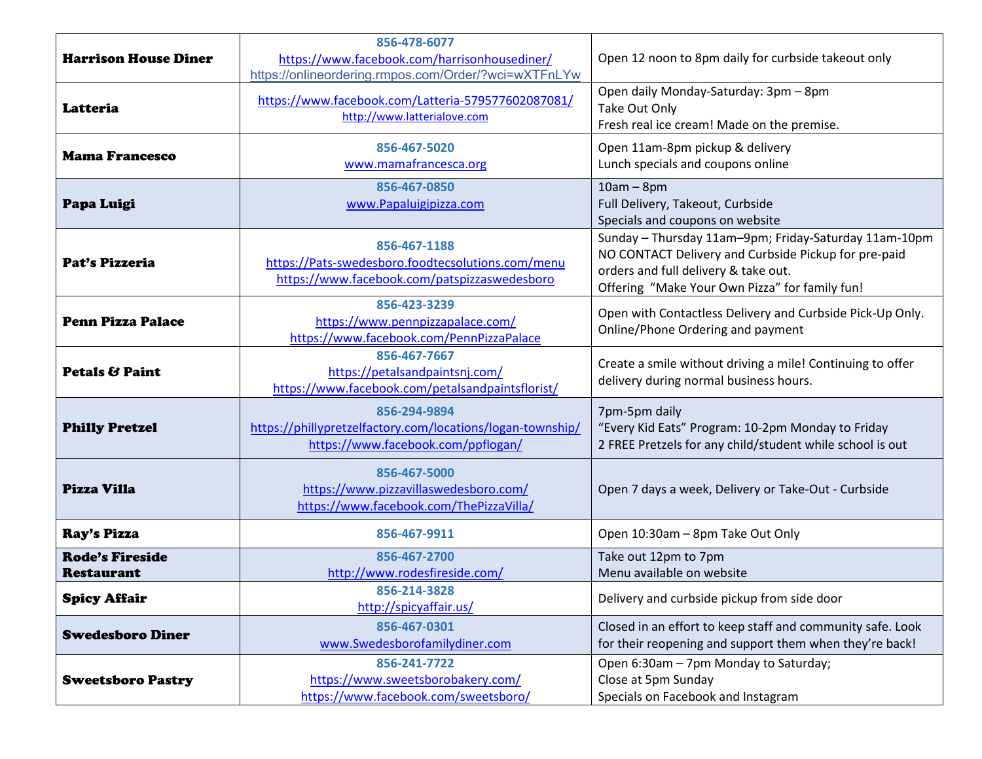|                             | 856-478-6077                                               |                                                            |
|-----------------------------|------------------------------------------------------------|------------------------------------------------------------|
| <b>Harrison House Diner</b> | https://www.facebook.com/harrisonhousediner/               | Open 12 noon to 8pm daily for curbside takeout only        |
|                             | https://onlineordering.rmpos.com/Order/?wci=wXTFnLYw       |                                                            |
|                             | https://www.facebook.com/Latteria-579577602087081/         | Open daily Monday-Saturday: 3pm - 8pm                      |
| Latteria                    | http://www.latterialove.com                                | Take Out Only                                              |
|                             |                                                            | Fresh real ice cream! Made on the premise.                 |
| <b>Mama Francesco</b>       | 856-467-5020                                               | Open 11am-8pm pickup & delivery                            |
|                             | www.mamafrancesca.org                                      | Lunch specials and coupons online                          |
|                             | 856-467-0850                                               | $10am - 8pm$                                               |
| Papa Luigi                  | www.Papaluigipizza.com                                     | Full Delivery, Takeout, Curbside                           |
|                             |                                                            | Specials and coupons on website                            |
|                             | 856-467-1188                                               | Sunday - Thursday 11am-9pm; Friday-Saturday 11am-10pm      |
| Pat's Pizzeria              | https://Pats-swedesboro.foodtecsolutions.com/menu          | NO CONTACT Delivery and Curbside Pickup for pre-paid       |
|                             | https://www.facebook.com/patspizzaswedesboro               | orders and full delivery & take out.                       |
|                             | 856-423-3239                                               | Offering "Make Your Own Pizza" for family fun!             |
| <b>Penn Pizza Palace</b>    | https://www.pennpizzapalace.com/                           | Open with Contactless Delivery and Curbside Pick-Up Only.  |
|                             | https://www.facebook.com/PennPizzaPalace                   | Online/Phone Ordering and payment                          |
|                             | 856-467-7667                                               |                                                            |
| <b>Petals &amp; Paint</b>   | https://petalsandpaintsnj.com/                             | Create a smile without driving a mile! Continuing to offer |
|                             | https://www.facebook.com/petalsandpaintsflorist/           | delivery during normal business hours.                     |
|                             | 856-294-9894                                               | 7pm-5pm daily                                              |
| <b>Philly Pretzel</b>       | https://phillypretzelfactory.com/locations/logan-township/ | "Every Kid Eats" Program: 10-2pm Monday to Friday          |
|                             | https://www.facebook.com/ppflogan/                         | 2 FREE Pretzels for any child/student while school is out  |
|                             | 856-467-5000                                               |                                                            |
| Pizza Villa                 | https://www.pizzavillaswedesboro.com/                      | Open 7 days a week, Delivery or Take-Out - Curbside        |
|                             | https://www.facebook.com/ThePizzaVilla/                    |                                                            |
|                             |                                                            |                                                            |
| Ray's Pizza                 | 856-467-9911                                               | Open 10:30am - 8pm Take Out Only                           |
| <b>Rode's Fireside</b>      | 856-467-2700                                               | Take out 12pm to 7pm                                       |
| <b>Restaurant</b>           | http://www.rodesfireside.com/                              | Menu available on website                                  |
| <b>Spicy Affair</b>         | 856-214-3828                                               | Delivery and curbside pickup from side door                |
|                             | http://spicyaffair.us/                                     |                                                            |
| <b>Swedesboro Diner</b>     | 856-467-0301                                               | Closed in an effort to keep staff and community safe. Look |
|                             | www.Swedesborofamilydiner.com                              | for their reopening and support them when they're back!    |
|                             | 856-241-7722                                               | Open 6:30am - 7pm Monday to Saturday;                      |
| <b>Sweetsboro Pastry</b>    | https://www.sweetsborobakery.com/                          | Close at 5pm Sunday                                        |
|                             | https://www.facebook.com/sweetsboro/                       | Specials on Facebook and Instagram                         |